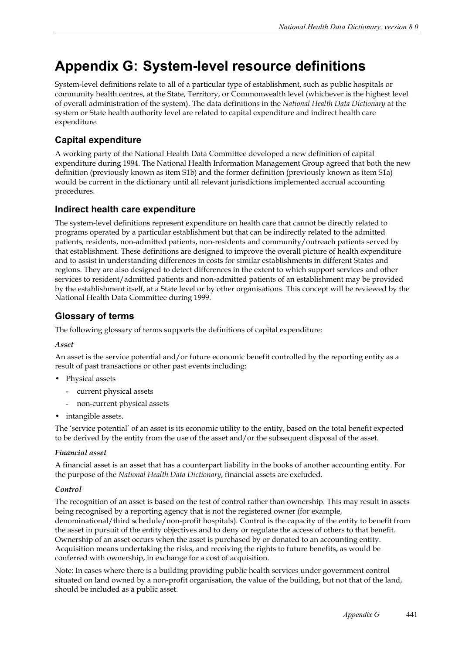# **Appendix G: System-level resource definitions**

System-level definitions relate to all of a particular type of establishment, such as public hospitals or community health centres, at the State, Territory, or Commonwealth level (whichever is the highest level of overall administration of the system). The data definitions in the *National Health Data Dictionary* at the system or State health authority level are related to capital expenditure and indirect health care expenditure.

# **Capital expenditure**

A working party of the National Health Data Committee developed a new definition of capital expenditure during 1994. The National Health Information Management Group agreed that both the new definition (previously known as item S1b) and the former definition (previously known as item S1a) would be current in the dictionary until all relevant jurisdictions implemented accrual accounting procedures.

# **Indirect health care expenditure**

The system-level definitions represent expenditure on health care that cannot be directly related to programs operated by a particular establishment but that can be indirectly related to the admitted patients, residents, non-admitted patients, non-residents and community/outreach patients served by that establishment. These definitions are designed to improve the overall picture of health expenditure and to assist in understanding differences in costs for similar establishments in different States and regions. They are also designed to detect differences in the extent to which support services and other services to resident/admitted patients and non-admitted patients of an establishment may be provided by the establishment itself, at a State level or by other organisations. This concept will be reviewed by the National Health Data Committee during 1999.

# **Glossary of terms**

The following glossary of terms supports the definitions of capital expenditure:

## *Asset*

An asset is the service potential and/or future economic benefit controlled by the reporting entity as a result of past transactions or other past events including:

- Physical assets
	- current physical assets
	- non-current physical assets
- intangible assets.

The 'service potential' of an asset is its economic utility to the entity, based on the total benefit expected to be derived by the entity from the use of the asset and/or the subsequent disposal of the asset.

## *Financial asset*

A financial asset is an asset that has a counterpart liability in the books of another accounting entity. For the purpose of the *National Health Data Dictionary*, financial assets are excluded.

## *Control*

The recognition of an asset is based on the test of control rather than ownership. This may result in assets being recognised by a reporting agency that is not the registered owner (for example, denominational/third schedule/non-profit hospitals). Control is the capacity of the entity to benefit from the asset in pursuit of the entity objectives and to deny or regulate the access of others to that benefit. Ownership of an asset occurs when the asset is purchased by or donated to an accounting entity. Acquisition means undertaking the risks, and receiving the rights to future benefits, as would be conferred with ownership, in exchange for a cost of acquisition.

Note: In cases where there is a building providing public health services under government control situated on land owned by a non-profit organisation, the value of the building, but not that of the land, should be included as a public asset.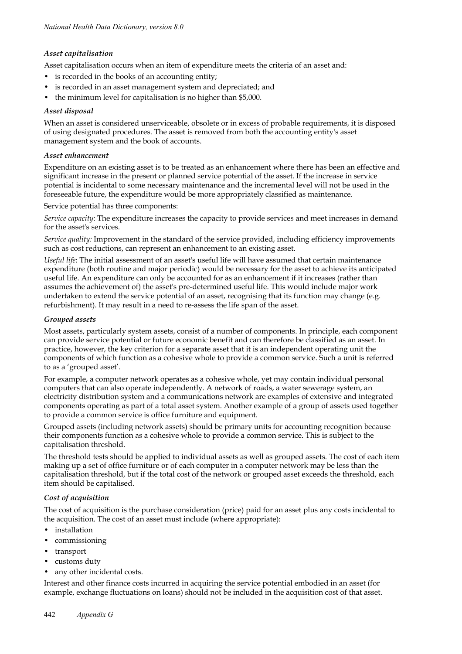#### *Asset capitalisation*

Asset capitalisation occurs when an item of expenditure meets the criteria of an asset and:

- is recorded in the books of an accounting entity;
- is recorded in an asset management system and depreciated; and
- the minimum level for capitalisation is no higher than \$5,000.

#### *Asset disposal*

When an asset is considered unserviceable, obsolete or in excess of probable requirements, it is disposed of using designated procedures. The asset is removed from both the accounting entity's asset management system and the book of accounts.

#### *Asset enhancement*

Expenditure on an existing asset is to be treated as an enhancement where there has been an effective and significant increase in the present or planned service potential of the asset. If the increase in service potential is incidental to some necessary maintenance and the incremental level will not be used in the foreseeable future, the expenditure would be more appropriately classified as maintenance.

Service potential has three components:

*Service capacity*: The expenditure increases the capacity to provide services and meet increases in demand for the asset's services.

*Service quality:* Improvement in the standard of the service provided, including efficiency improvements such as cost reductions, can represent an enhancement to an existing asset.

*Useful life*: The initial assessment of an asset's useful life will have assumed that certain maintenance expenditure (both routine and major periodic) would be necessary for the asset to achieve its anticipated useful life. An expenditure can only be accounted for as an enhancement if it increases (rather than assumes the achievement of) the asset's pre-determined useful life. This would include major work undertaken to extend the service potential of an asset, recognising that its function may change (e.g. refurbishment). It may result in a need to re-assess the life span of the asset.

#### *Grouped assets*

Most assets, particularly system assets, consist of a number of components. In principle, each component can provide service potential or future economic benefit and can therefore be classified as an asset. In practice, however, the key criterion for a separate asset that it is an independent operating unit the components of which function as a cohesive whole to provide a common service. Such a unit is referred to as a 'grouped asset'.

For example, a computer network operates as a cohesive whole, yet may contain individual personal computers that can also operate independently. A network of roads, a water sewerage system, an electricity distribution system and a communications network are examples of extensive and integrated components operating as part of a total asset system. Another example of a group of assets used together to provide a common service is office furniture and equipment.

Grouped assets (including network assets) should be primary units for accounting recognition because their components function as a cohesive whole to provide a common service. This is subject to the capitalisation threshold.

The threshold tests should be applied to individual assets as well as grouped assets. The cost of each item making up a set of office furniture or of each computer in a computer network may be less than the capitalisation threshold, but if the total cost of the network or grouped asset exceeds the threshold, each item should be capitalised.

#### *Cost of acquisition*

The cost of acquisition is the purchase consideration (price) paid for an asset plus any costs incidental to the acquisition. The cost of an asset must include (where appropriate):

- installation
- commissioning
- transport
- customs duty
- any other incidental costs.

Interest and other finance costs incurred in acquiring the service potential embodied in an asset (for example, exchange fluctuations on loans) should not be included in the acquisition cost of that asset.